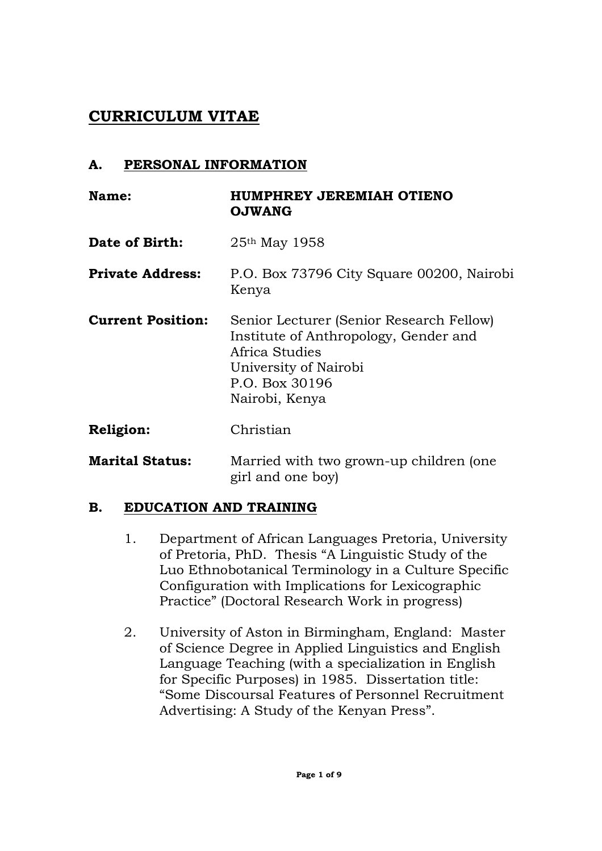# **CURRICULUM VITAE**

### **A. PERSONAL INFORMATION**

| Name:                    | HUMPHREY JEREMIAH OTIENO<br><b>OJWANG</b>                                                                                                                        |
|--------------------------|------------------------------------------------------------------------------------------------------------------------------------------------------------------|
| Date of Birth:           | $25th$ May 1958                                                                                                                                                  |
| <b>Private Address:</b>  | P.O. Box 73796 City Square 00200, Nairobi<br>Kenya                                                                                                               |
| <b>Current Position:</b> | Senior Lecturer (Senior Research Fellow)<br>Institute of Anthropology, Gender and<br>Africa Studies<br>University of Nairobi<br>P.O. Box 30196<br>Nairobi, Kenya |
| <b>Religion:</b>         | Christian                                                                                                                                                        |
| <b>Marital Status:</b>   | Married with two grown-up children (one<br>girl and one boy)                                                                                                     |

### **B. EDUCATION AND TRAINING**

- 1. Department of African Languages Pretoria, University of Pretoria, PhD. Thesis "A Linguistic Study of the Luo Ethnobotanical Terminology in a Culture Specific Configuration with Implications for Lexicographic Practice" (Doctoral Research Work in progress)
- 2. University of Aston in Birmingham, England: Master of Science Degree in Applied Linguistics and English Language Teaching (with a specialization in English for Specific Purposes) in 1985. Dissertation title: "Some Discoursal Features of Personnel Recruitment Advertising: A Study of the Kenyan Press".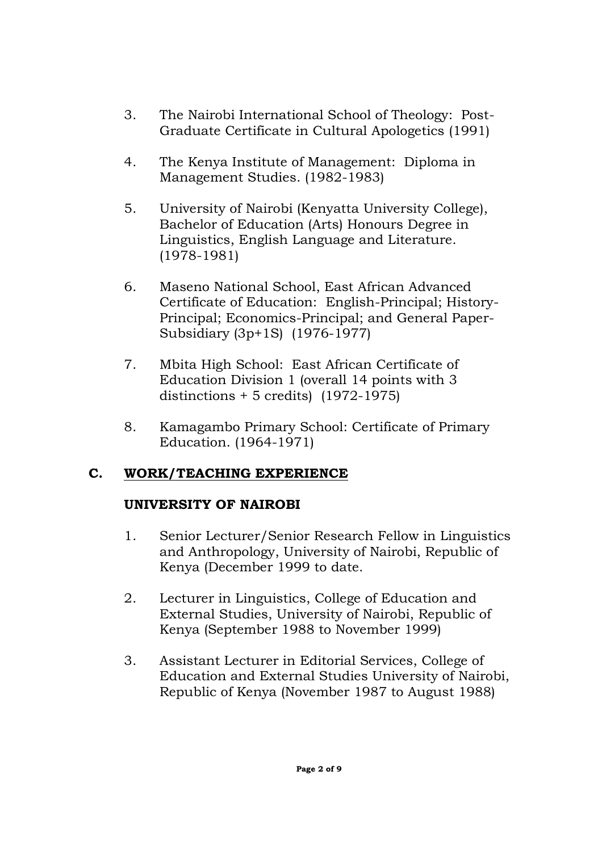- 3. The Nairobi International School of Theology: Post-Graduate Certificate in Cultural Apologetics (1991)
- 4. The Kenya Institute of Management: Diploma in Management Studies. (1982-1983)
- 5. University of Nairobi (Kenyatta University College), Bachelor of Education (Arts) Honours Degree in Linguistics, English Language and Literature. (1978-1981)
- 6. Maseno National School, East African Advanced Certificate of Education: English-Principal; History-Principal; Economics-Principal; and General Paper-Subsidiary (3p+1S) (1976-1977)
- 7. Mbita High School: East African Certificate of Education Division 1 (overall 14 points with 3 distinctions + 5 credits) (1972-1975)
- 8. Kamagambo Primary School: Certificate of Primary Education. (1964-1971)

# **C. WORK/TEACHING EXPERIENCE**

# **UNIVERSITY OF NAIROBI**

- 1. Senior Lecturer/Senior Research Fellow in Linguistics and Anthropology, University of Nairobi, Republic of Kenya (December 1999 to date.
- 2. Lecturer in Linguistics, College of Education and External Studies, University of Nairobi, Republic of Kenya (September 1988 to November 1999)
- 3. Assistant Lecturer in Editorial Services, College of Education and External Studies University of Nairobi, Republic of Kenya (November 1987 to August 1988)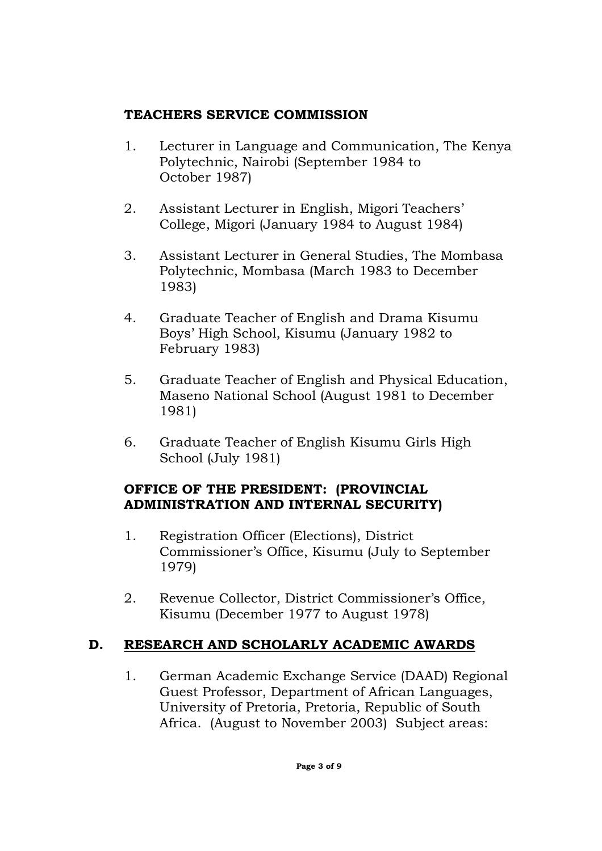## **TEACHERS SERVICE COMMISSION**

- 1. Lecturer in Language and Communication, The Kenya Polytechnic, Nairobi (September 1984 to October 1987)
- 2. Assistant Lecturer in English, Migori Teachers' College, Migori (January 1984 to August 1984)
- 3. Assistant Lecturer in General Studies, The Mombasa Polytechnic, Mombasa (March 1983 to December 1983)
- 4. Graduate Teacher of English and Drama Kisumu Boys' High School, Kisumu (January 1982 to February 1983)
- 5. Graduate Teacher of English and Physical Education, Maseno National School (August 1981 to December 1981)
- 6. Graduate Teacher of English Kisumu Girls High School (July 1981)

## **OFFICE OF THE PRESIDENT: (PROVINCIAL ADMINISTRATION AND INTERNAL SECURITY)**

- 1. Registration Officer (Elections), District Commissioner's Office, Kisumu (July to September 1979)
- 2. Revenue Collector, District Commissioner's Office, Kisumu (December 1977 to August 1978)

# **D. RESEARCH AND SCHOLARLY ACADEMIC AWARDS**

1. German Academic Exchange Service (DAAD) Regional Guest Professor, Department of African Languages, University of Pretoria, Pretoria, Republic of South Africa. (August to November 2003) Subject areas: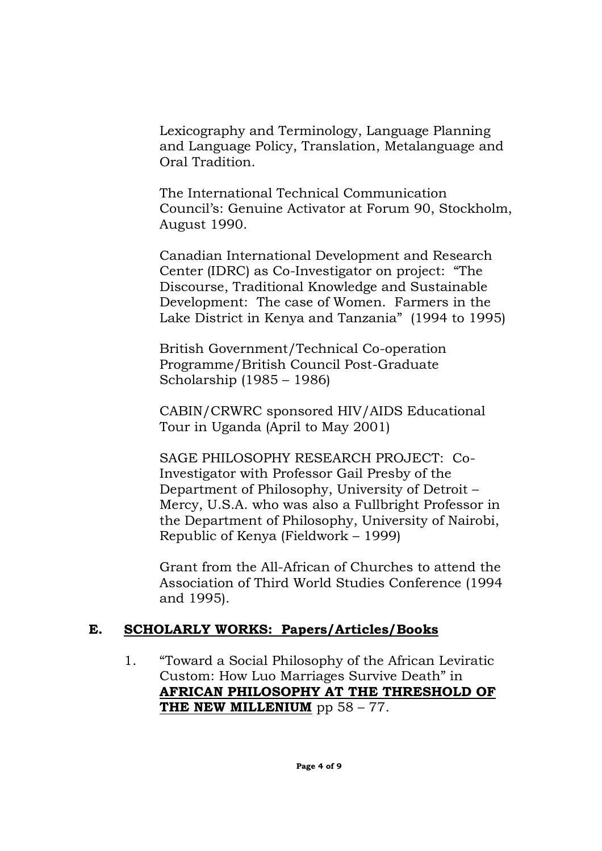Lexicography and Terminology, Language Planning and Language Policy, Translation, Metalanguage and Oral Tradition.

The International Technical Communication Council's: Genuine Activator at Forum 90, Stockholm, August 1990.

Canadian International Development and Research Center (IDRC) as Co-Investigator on project: "The Discourse, Traditional Knowledge and Sustainable Development: The case of Women. Farmers in the Lake District in Kenya and Tanzania" (1994 to 1995)

British Government/Technical Co-operation Programme/British Council Post-Graduate Scholarship (1985 – 1986)

CABIN/CRWRC sponsored HIV/AIDS Educational Tour in Uganda (April to May 2001)

SAGE PHILOSOPHY RESEARCH PROJECT: Co-Investigator with Professor Gail Presby of the Department of Philosophy, University of Detroit – Mercy, U.S.A. who was also a Fullbright Professor in the Department of Philosophy, University of Nairobi, Republic of Kenya (Fieldwork – 1999)

Grant from the All-African of Churches to attend the Association of Third World Studies Conference (1994 and 1995).

### **E. SCHOLARLY WORKS: Papers/Articles/Books**

1. "Toward a Social Philosophy of the African Leviratic Custom: How Luo Marriages Survive Death" in **AFRICAN PHILOSOPHY AT THE THRESHOLD OF THE NEW MILLENIUM** pp 58 – 77.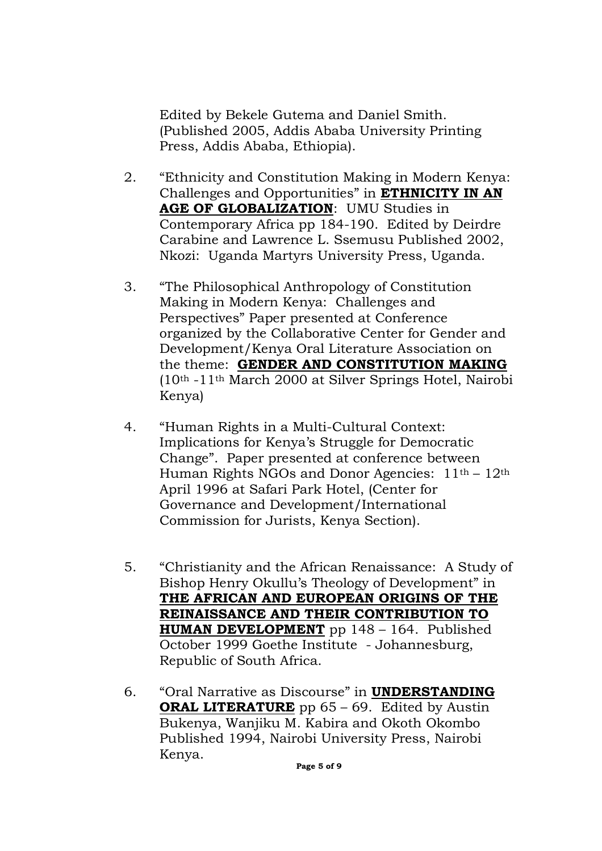Edited by Bekele Gutema and Daniel Smith. (Published 2005, Addis Ababa University Printing Press, Addis Ababa, Ethiopia).

- 2. "Ethnicity and Constitution Making in Modern Kenya: Challenges and Opportunities" in **ETHNICITY IN AN AGE OF GLOBALIZATION**: UMU Studies in Contemporary Africa pp 184-190. Edited by Deirdre Carabine and Lawrence L. Ssemusu Published 2002, Nkozi: Uganda Martyrs University Press, Uganda.
- 3. "The Philosophical Anthropology of Constitution Making in Modern Kenya: Challenges and Perspectives" Paper presented at Conference organized by the Collaborative Center for Gender and Development/Kenya Oral Literature Association on the theme: **GENDER AND CONSTITUTION MAKING** (10th -11th March 2000 at Silver Springs Hotel, Nairobi Kenya)
- 4. "Human Rights in a Multi-Cultural Context: Implications for Kenya's Struggle for Democratic Change". Paper presented at conference between Human Rights NGOs and Donor Agencies:  $11<sup>th</sup> - 12<sup>th</sup>$ April 1996 at Safari Park Hotel, (Center for Governance and Development/International Commission for Jurists, Kenya Section).
- 5. "Christianity and the African Renaissance: A Study of Bishop Henry Okullu's Theology of Development" in **THE AFRICAN AND EUROPEAN ORIGINS OF THE REINAISSANCE AND THEIR CONTRIBUTION TO HUMAN DEVELOPMENT** pp 148 – 164. Published October 1999 Goethe Institute - Johannesburg, Republic of South Africa.
- 6. "Oral Narrative as Discourse" in **UNDERSTANDING ORAL LITERATURE** pp 65 – 69. Edited by Austin Bukenya, Wanjiku M. Kabira and Okoth Okombo Published 1994, Nairobi University Press, Nairobi Kenya.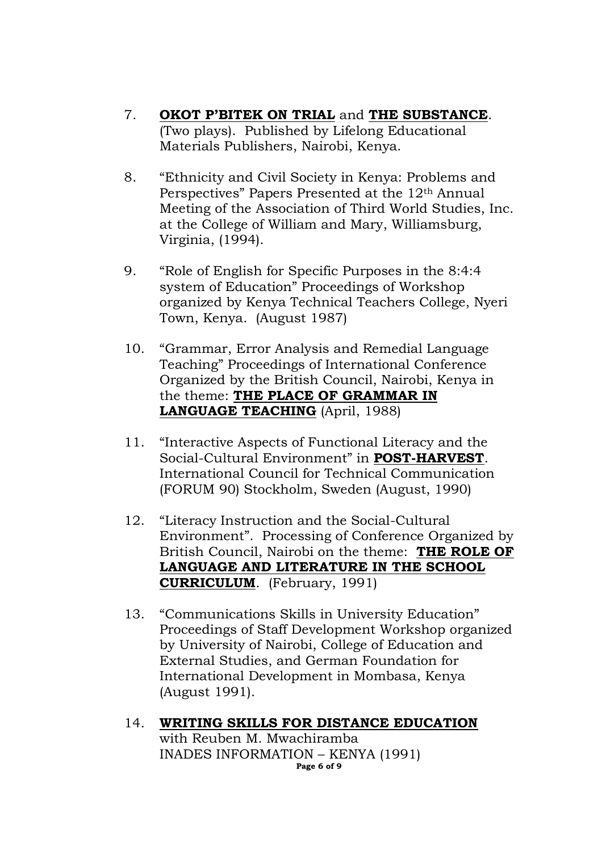- 7. **OKOT P'BITEK ON TRIAL** and **THE SUBSTANCE**. (Two plays). Published by Lifelong Educational Materials Publishers, Nairobi, Kenya.
- 8. "Ethnicity and Civil Society in Kenya: Problems and Perspectives" Papers Presented at the 12th Annual Meeting of the Association of Third World Studies, Inc. at the College of William and Mary, Williamsburg, Virginia, (1994).
- 9. "Role of English for Specific Purposes in the 8:4:4 system of Education" Proceedings of Workshop organized by Kenya Technical Teachers College, Nyeri Town, Kenya. (August 1987)
- 10. "Grammar, Error Analysis and Remedial Language Teaching" Proceedings of International Conference Organized by the British Council, Nairobi, Kenya in the theme: **THE PLACE OF GRAMMAR IN LANGUAGE TEACHING** (April, 1988)
- 11. "Interactive Aspects of Functional Literacy and the Social-Cultural Environment" in **POST-HARVEST**. International Council for Technical Communication (FORUM 90) Stockholm, Sweden (August, 1990)
- 12. "Literacy Instruction and the Social-Cultural Environment". Processing of Conference Organized by British Council, Nairobi on the theme: **THE ROLE OF LANGUAGE AND LITERATURE IN THE SCHOOL CURRICULUM**. (February, 1991)
- 13. "Communications Skills in University Education" Proceedings of Staff Development Workshop organized by University of Nairobi, College of Education and External Studies, and German Foundation for International Development in Mombasa, Kenya (August 1991).
- 14. **WRITING SKILLS FOR DISTANCE EDUCATION** with Reuben M. Mwachiramba INADES INFORMATION – KENYA (1991) **Page 6 of 9**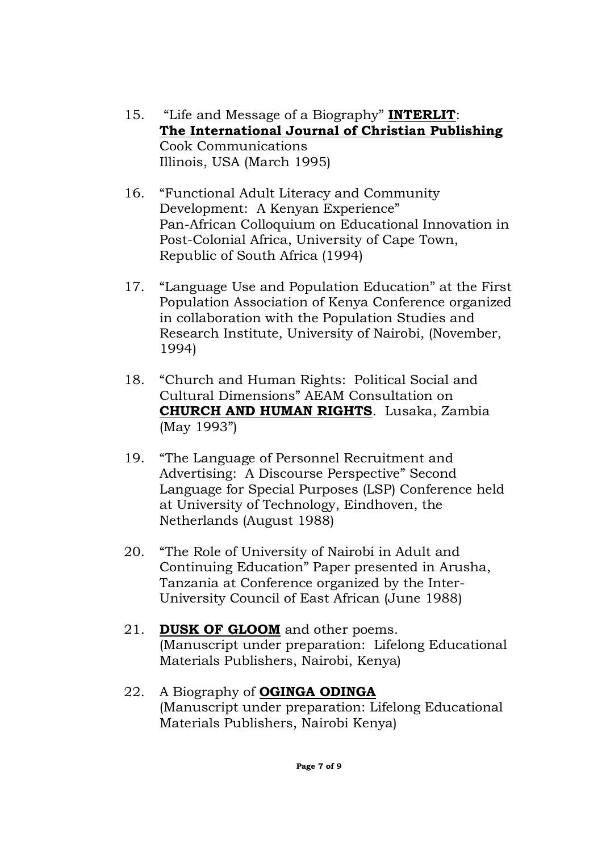- 15. "Life and Message of a Biography" **INTERLIT**: **The International Journal of Christian Publishing** Cook Communications Illinois, USA (March 1995)
- 16. "Functional Adult Literacy and Community Development: A Kenyan Experience" Pan-African Colloquium on Educational Innovation in Post-Colonial Africa, University of Cape Town, Republic of South Africa (1994)
- 17. "Language Use and Population Education" at the First Population Association of Kenya Conference organized in collaboration with the Population Studies and Research Institute, University of Nairobi, (November, 1994)
- 18. "Church and Human Rights: Political Social and Cultural Dimensions" AEAM Consultation on **CHURCH AND HUMAN RIGHTS**. Lusaka, Zambia (May 1993")
- 19. "The Language of Personnel Recruitment and Advertising: A Discourse Perspective" Second Language for Special Purposes (LSP) Conference held at University of Technology, Eindhoven, the Netherlands (August 1988)
- 20. "The Role of University of Nairobi in Adult and Continuing Education" Paper presented in Arusha, Tanzania at Conference organized by the Inter-University Council of East African (June 1988)
- 21. **DUSK OF GLOOM** and other poems. (Manuscript under preparation: Lifelong Educational Materials Publishers, Nairobi, Kenya)
- 22. A Biography of **OGINGA ODINGA** (Manuscript under preparation: Lifelong Educational Materials Publishers, Nairobi Kenya)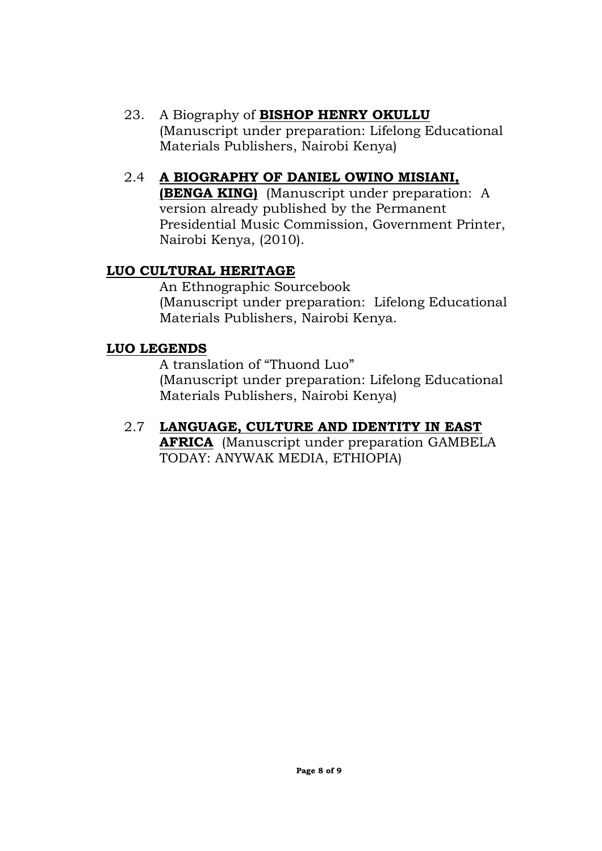23. A Biography of **BISHOP HENRY OKULLU** (Manuscript under preparation: Lifelong Educational Materials Publishers, Nairobi Kenya)

### 2.4 **A BIOGRAPHY OF DANIEL OWINO MISIANI,**

**(BENGA KING)** (Manuscript under preparation: A version already published by the Permanent Presidential Music Commission, Government Printer, Nairobi Kenya, (2010).

### **LUO CULTURAL HERITAGE**

An Ethnographic Sourcebook (Manuscript under preparation: Lifelong Educational Materials Publishers, Nairobi Kenya.

#### **LUO LEGENDS**

A translation of "Thuond Luo" (Manuscript under preparation: Lifelong Educational Materials Publishers, Nairobi Kenya)

2.7 **LANGUAGE, CULTURE AND IDENTITY IN EAST AFRICA** (Manuscript under preparation GAMBELA TODAY: ANYWAK MEDIA, ETHIOPIA)